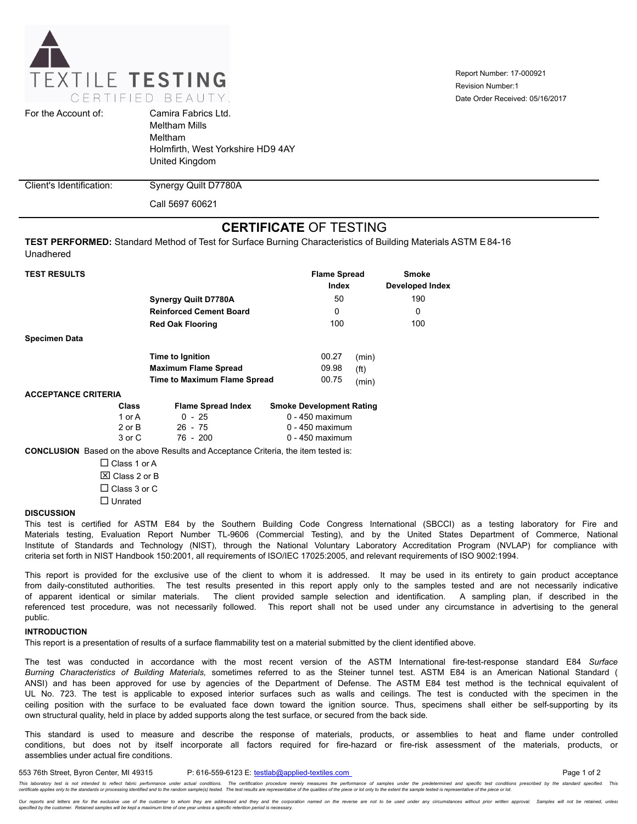

Report Number: 17-000921 Date Order Received: 05/16/2017 Revision Number:1

| For the Account of:      | Camira Fabrics Ltd.<br><b>Meltham Mills</b><br>Meltham<br>Holmfirth, West Yorkshire HD9 4AY<br>United Kingdom |
|--------------------------|---------------------------------------------------------------------------------------------------------------|
| Client's Identification: | Synergy Quilt D7780A                                                                                          |

Call 5697 60621

# **CERTIFICATE** OF TESTING

**TEST PERFORMED:** Standard Method of Test for Surface Burning Characteristics of Building Materials ASTM E84-16 Unadhered

| <b>TEST RESULTS</b>        |                                     | <b>Flame Spread</b><br>Index    | <b>Smoke</b><br><b>Developed Index</b> |
|----------------------------|-------------------------------------|---------------------------------|----------------------------------------|
|                            | <b>Synergy Quilt D7780A</b>         | 50                              | 190                                    |
|                            | <b>Reinforced Cement Board</b>      | 0                               | 0                                      |
|                            | <b>Red Oak Flooring</b>             | 100                             | 100                                    |
| <b>Specimen Data</b>       |                                     |                                 |                                        |
|                            | Time to Ignition                    | 00.27                           | (min)                                  |
|                            | <b>Maximum Flame Spread</b>         | 09.98<br>(f <sup>t</sup> )      |                                        |
|                            | <b>Time to Maximum Flame Spread</b> | 00.75                           | (min)                                  |
| <b>ACCEPTANCE CRITERIA</b> |                                     |                                 |                                        |
| Class                      | <b>Flame Spread Index</b>           | <b>Smoke Development Rating</b> |                                        |
| 1 or A                     | $0 - 25$                            | $0 - 450$ maximum               |                                        |
| 2 or B                     | $26 - 75$                           | 0 - 450 maximum                 |                                        |
| $3$ or $\Omega$            | 76 - 200                            | $0 - 450$ maximum               |                                        |

3 or C 76 - 200 0 - 450 maximum

**CONCLUSION** Based on the above Results and Acceptance Criteria, the item tested is:

 $\square$  Class 1 or A  $\boxtimes$  Class 2 or B  $\Box$  Class 3 or C  $\square$  Unrated

# **DISCUSSION**

This test is certified for ASTM E84 by the Southern Building Code Congress International (SBCCI) as a testing laboratory for Fire and Materials testing, Evaluation Report Number TL-9606 (Commercial Testing), and by the United States Department of Commerce, National Institute of Standards and Technology (NIST), through the National Voluntary Laboratory Accreditation Program (NVLAP) for compliance with criteria set forth in NIST Handbook 150:2001, all requirements of ISO/IEC 17025:2005, and relevant requirements of ISO 9002:1994.

This report is provided for the exclusive use of the client to whom it is addressed. It may be used in its entirety to gain product acceptance from daily-constituted authorities. The test results presented in this report apply only to the samples tested and are not necessarily indicative of apparent identical or similar materials. The client provided sample selection and identification. A sampling plan, if described in the referenced test procedure, was not necessarily followed. This report shall not be used under any circumstance in advertising to the general public.

#### **INTRODUCTION**

This report is a presentation of results of a surface flammability test on a material submitted by the client identified above.

The test was conducted in accordance with the most recent version of the ASTM International fire-test-response standard E84 *Surface Burning Characteristics of Building Materials,* sometimes referred to as the Steiner tunnel test. ASTM E84 is an American National Standard ( ANSI) and has been approved for use by agencies of the Department of Defense. The ASTM E84 test method is the technical equivalent of UL No. 723. The test is applicable to exposed interior surfaces such as walls and ceilings. The test is conducted with the specimen in the ceiling position with the surface to be evaluated face down toward the ignition source. Thus, specimens shall either be self-supporting by its own structural quality, held in place by added supports along the test surface, or secured from the back side.

This standard is used to measure and describe the response of materials, products, or assemblies to heat and flame under controlled conditions, but does not by itself incorporate all factors required for fire-hazard or fire-risk assessment of the materials, products, or assemblies under actual fire conditions.

553 76th Street, Byron Center, MI 49315 P: 616-559-6123 E: testlab@applied-textiles.com examples and the page 1 of 2 .<br>This laboratory test is not intended to reflect fabric performance under actual conditions. The certification procedure merely measures the performance of samples under the predetermined and specific test conditions pres

Our reports and letters are for the exclusive use of the customer to whom they are addressed and they and the corporation named on the reverse are not to be used under any circumstances without prior written approval. Samp *specified by the customer. Retained samples will be kept a maximum time of one year unless a specific retention period is necessary.*